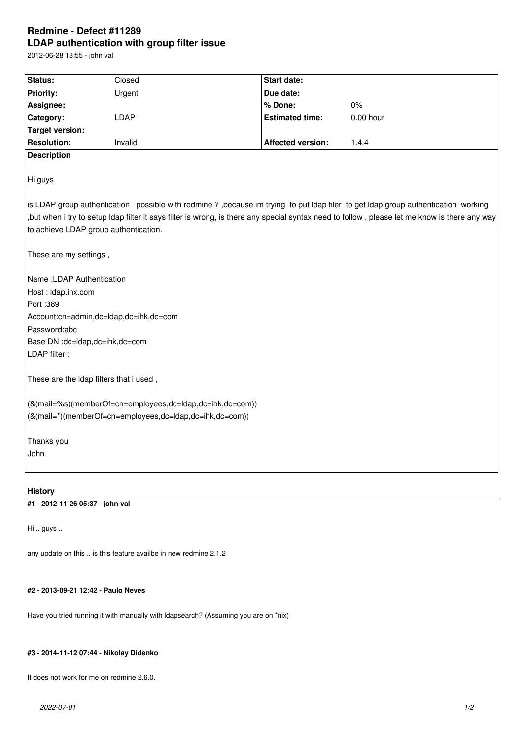# **Redmine - Defect #11289 LDAP authentication with group filter issue**

2012-06-28 13:55 - john val

| Status:                                                                                                                                      | Closed  |  | <b>Start date:</b>       |             |
|----------------------------------------------------------------------------------------------------------------------------------------------|---------|--|--------------------------|-------------|
| <b>Priority:</b>                                                                                                                             | Urgent  |  | Due date:                |             |
| Assignee:                                                                                                                                    |         |  | % Done:                  | 0%          |
| Category:                                                                                                                                    | LDAP    |  | <b>Estimated time:</b>   | $0.00$ hour |
| <b>Target version:</b>                                                                                                                       |         |  |                          |             |
| <b>Resolution:</b>                                                                                                                           | Invalid |  | <b>Affected version:</b> | 1.4.4       |
| <b>Description</b>                                                                                                                           |         |  |                          |             |
| Hi guys                                                                                                                                      |         |  |                          |             |
| is LDAP group authentication possible with redmine?, because im trying to put Idap filer to get Idap group authentication working            |         |  |                          |             |
| but when i try to setup ldap filter it says filter is wrong, is there any special syntax need to follow, please let me know is there any way |         |  |                          |             |
| to achieve LDAP group authentication.                                                                                                        |         |  |                          |             |
| These are my settings,                                                                                                                       |         |  |                          |             |
| Name : LDAP Authentication                                                                                                                   |         |  |                          |             |
| Host: Idap.ihx.com                                                                                                                           |         |  |                          |             |
| Port : 389                                                                                                                                   |         |  |                          |             |
| Account:cn=admin,dc=ldap,dc=ihk,dc=com                                                                                                       |         |  |                          |             |
| Password:abc                                                                                                                                 |         |  |                          |             |
| Base DN :dc=ldap,dc=ihk,dc=com                                                                                                               |         |  |                          |             |
| LDAP filter :                                                                                                                                |         |  |                          |             |
| These are the Idap filters that i used,                                                                                                      |         |  |                          |             |
| (&(mail=%s)(memberOf=cn=employees,dc=ldap,dc=ihk,dc=com))                                                                                    |         |  |                          |             |
| (&(mail=*)(memberOf=cn=employees,dc=ldap,dc=ihk,dc=com))                                                                                     |         |  |                          |             |
|                                                                                                                                              |         |  |                          |             |
| Thanks you                                                                                                                                   |         |  |                          |             |
| John                                                                                                                                         |         |  |                          |             |
|                                                                                                                                              |         |  |                          |             |
| <b>History</b>                                                                                                                               |         |  |                          |             |

**#1 - 2012-11-26 05:37 - john val**

Hi... guys ..

any update on this .. is this feature availbe in new redmine 2.1.2

# **#2 - 2013-09-21 12:42 - Paulo Neves**

Have you tried running it with manually with ldapsearch? (Assuming you are on \*nix)

### **#3 - 2014-11-12 07:44 - Nikolay Didenko**

It does not work for me on redmine 2.6.0.